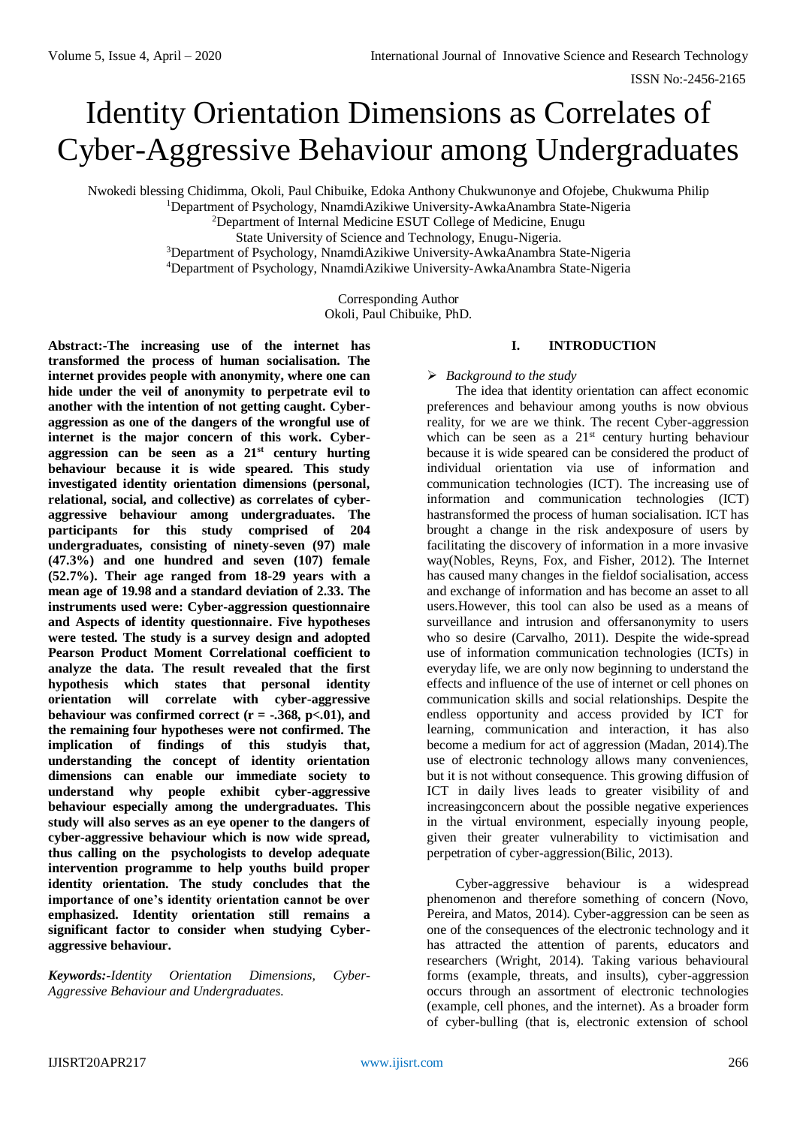# Identity Orientation Dimensions as Correlates of Cyber-Aggressive Behaviour among Undergraduates

Nwokedi blessing Chidimma, Okoli, Paul Chibuike, Edoka Anthony Chukwunonye and Ofojebe, Chukwuma Philip

<sup>1</sup>Department of Psychology, NnamdiAzikiwe University-AwkaAnambra State-Nigeria

<sup>2</sup>Department of Internal Medicine ESUT College of Medicine, Enugu

State University of Science and Technology, Enugu-Nigeria.

<sup>3</sup>Department of Psychology, NnamdiAzikiwe University-AwkaAnambra State-Nigeria

<sup>4</sup>Department of Psychology, NnamdiAzikiwe University-AwkaAnambra State-Nigeria

Corresponding Author Okoli, Paul Chibuike, PhD.

**Abstract:-The increasing use of the internet has transformed the process of human socialisation. The internet provides people with anonymity, where one can hide under the veil of anonymity to perpetrate evil to another with the intention of not getting caught. Cyberaggression as one of the dangers of the wrongful use of internet is the major concern of this work. Cyberaggression can be seen as a 21st century hurting behaviour because it is wide speared. This study investigated identity orientation dimensions (personal, relational, social, and collective) as correlates of cyberaggressive behaviour among undergraduates. The participants for this study comprised of 204 undergraduates, consisting of ninety-seven (97) male (47.3%) and one hundred and seven (107) female (52.7%). Their age ranged from 18-29 years with a mean age of 19.98 and a standard deviation of 2.33. The instruments used were: Cyber-aggression questionnaire and Aspects of identity questionnaire. Five hypotheses were tested. The study is a survey design and adopted Pearson Product Moment Correlational coefficient to analyze the data. The result revealed that the first hypothesis which states that personal identity orientation will correlate with cyber-aggressive behaviour was confirmed correct (** $r = -.368$ **,**  $p < .01$ **), and the remaining four hypotheses were not confirmed. The implication of findings of this studyis that, understanding the concept of identity orientation dimensions can enable our immediate society to understand why people exhibit cyber-aggressive behaviour especially among the undergraduates. This study will also serves as an eye opener to the dangers of cyber-aggressive behaviour which is now wide spread, thus calling on the psychologists to develop adequate intervention programme to help youths build proper identity orientation. The study concludes that the importance of one's identity orientation cannot be over emphasized. Identity orientation still remains a significant factor to consider when studying Cyberaggressive behaviour.**

*Keywords:-Identity Orientation Dimensions, Cyber-Aggressive Behaviour and Undergraduates.*

# **I. INTRODUCTION**

*Background to the study*

The idea that identity orientation can affect economic preferences and behaviour among youths is now obvious reality, for we are we think. The recent Cyber-aggression which can be seen as a 21<sup>st</sup> century hurting behaviour because it is wide speared can be considered the product of individual orientation via use of information and communication technologies (ICT). The increasing use of information and communication technologies (ICT) hastransformed the process of human socialisation. ICT has brought a change in the risk andexposure of users by facilitating the discovery of information in a more invasive way(Nobles, Reyns, Fox, and Fisher, 2012). The Internet has caused many changes in the fieldof socialisation, access and exchange of information and has become an asset to all users.However, this tool can also be used as a means of surveillance and intrusion and offersanonymity to users who so desire (Carvalho, 2011). Despite the wide-spread use of information communication technologies (ICTs) in everyday life, we are only now beginning to understand the effects and influence of the use of internet or cell phones on communication skills and social relationships. Despite the endless opportunity and access provided by ICT for learning, communication and interaction, it has also become a medium for act of aggression (Madan, 2014).The use of electronic technology allows many conveniences, but it is not without consequence. This growing diffusion of ICT in daily lives leads to greater visibility of and increasingconcern about the possible negative experiences in the virtual environment, especially inyoung people, given their greater vulnerability to victimisation and perpetration of cyber-aggression(Bilic, 2013).

Cyber-aggressive behaviour is a widespread phenomenon and therefore something of concern (Novo, Pereira, and Matos, 2014). Cyber-aggression can be seen as one of the consequences of the electronic technology and it has attracted the attention of parents, educators and researchers (Wright, 2014). Taking various behavioural forms (example, threats, and insults), cyber-aggression occurs through an assortment of electronic technologies (example, cell phones, and the internet). As a broader form of cyber-bulling (that is, electronic extension of school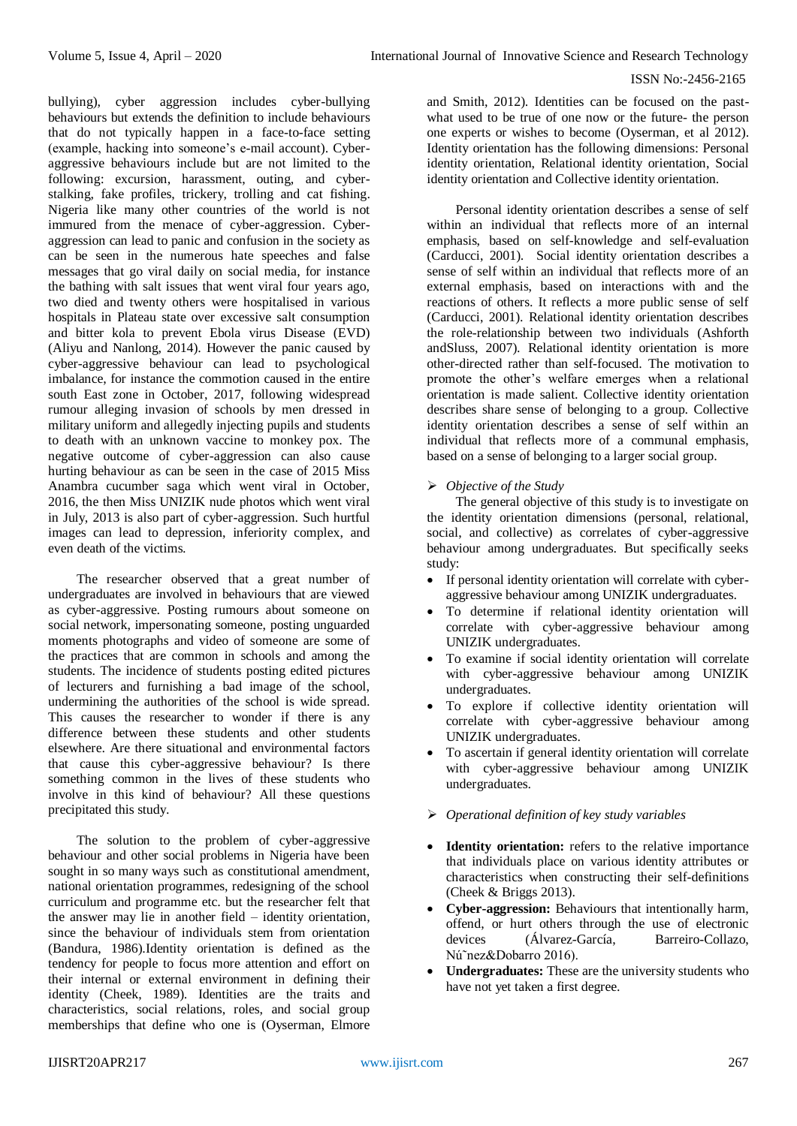bullying), cyber aggression includes cyber-bullying behaviours but extends the definition to include behaviours that do not typically happen in a face-to-face setting (example, hacking into someone's e-mail account). Cyberaggressive behaviours include but are not limited to the following: excursion, harassment, outing, and cyberstalking, fake profiles, trickery, trolling and cat fishing. Nigeria like many other countries of the world is not immured from the menace of cyber-aggression. Cyberaggression can lead to panic and confusion in the society as can be seen in the numerous hate speeches and false messages that go viral daily on social media, for instance the bathing with salt issues that went viral four years ago, two died and twenty others were hospitalised in various hospitals in Plateau state over excessive salt consumption and bitter kola to prevent Ebola virus Disease (EVD) (Aliyu and Nanlong, 2014). However the panic caused by cyber-aggressive behaviour can lead to psychological imbalance, for instance the commotion caused in the entire south East zone in October, 2017, following widespread rumour alleging invasion of schools by men dressed in military uniform and allegedly injecting pupils and students to death with an unknown vaccine to monkey pox. The negative outcome of cyber-aggression can also cause hurting behaviour as can be seen in the case of 2015 Miss Anambra cucumber saga which went viral in October, 2016, the then Miss UNIZIK nude photos which went viral in July, 2013 is also part of cyber-aggression. Such hurtful images can lead to depression, inferiority complex, and even death of the victims.

The researcher observed that a great number of undergraduates are involved in behaviours that are viewed as cyber-aggressive. Posting rumours about someone on social network, impersonating someone, posting unguarded moments photographs and video of someone are some of the practices that are common in schools and among the students. The incidence of students posting edited pictures of lecturers and furnishing a bad image of the school, undermining the authorities of the school is wide spread. This causes the researcher to wonder if there is any difference between these students and other students elsewhere. Are there situational and environmental factors that cause this cyber-aggressive behaviour? Is there something common in the lives of these students who involve in this kind of behaviour? All these questions precipitated this study.

The solution to the problem of cyber-aggressive behaviour and other social problems in Nigeria have been sought in so many ways such as constitutional amendment, national orientation programmes, redesigning of the school curriculum and programme etc. but the researcher felt that the answer may lie in another field – identity orientation, since the behaviour of individuals stem from orientation (Bandura, 1986).Identity orientation is defined as the tendency for people to focus more attention and effort on their internal or external environment in defining their identity (Cheek, 1989). Identities are the traits and characteristics, social relations, roles, and social group memberships that define who one is (Oyserman, Elmore

and Smith, 2012). Identities can be focused on the pastwhat used to be true of one now or the future- the person one experts or wishes to become (Oyserman, et al 2012). Identity orientation has the following dimensions: Personal identity orientation, Relational identity orientation, Social identity orientation and Collective identity orientation.

Personal identity orientation describes a sense of self within an individual that reflects more of an internal emphasis, based on self-knowledge and self-evaluation (Carducci, 2001). Social identity orientation describes a sense of self within an individual that reflects more of an external emphasis, based on interactions with and the reactions of others. It reflects a more public sense of self (Carducci, 2001). Relational identity orientation describes the role-relationship between two individuals (Ashforth andSluss, 2007). Relational identity orientation is more other-directed rather than self-focused. The motivation to promote the other's welfare emerges when a relational orientation is made salient. Collective identity orientation describes share sense of belonging to a group. Collective identity orientation describes a sense of self within an individual that reflects more of a communal emphasis, based on a sense of belonging to a larger social group.

# *Objective of the Study*

The general objective of this study is to investigate on the identity orientation dimensions (personal, relational, social, and collective) as correlates of cyber-aggressive behaviour among undergraduates. But specifically seeks study:

- If personal identity orientation will correlate with cyberaggressive behaviour among UNIZIK undergraduates.
- To determine if relational identity orientation will correlate with cyber-aggressive behaviour among UNIZIK undergraduates.
- To examine if social identity orientation will correlate with cyber-aggressive behaviour among UNIZIK undergraduates.
- To explore if collective identity orientation will correlate with cyber-aggressive behaviour among UNIZIK undergraduates.
- To ascertain if general identity orientation will correlate with cyber-aggressive behaviour among UNIZIK undergraduates.
- *Operational definition of key study variables*
- **Identity orientation:** refers to the relative importance that individuals place on various identity attributes or characteristics when constructing their self-definitions (Cheek & Briggs 2013).
- **Cyber-aggression:** Behaviours that intentionally harm, offend, or hurt others through the use of electronic devices (Álvarez-García, Barreiro-Collazo, Nú˜nez&Dobarro 2016).
- **Undergraduates:** These are the university students who have not yet taken a first degree.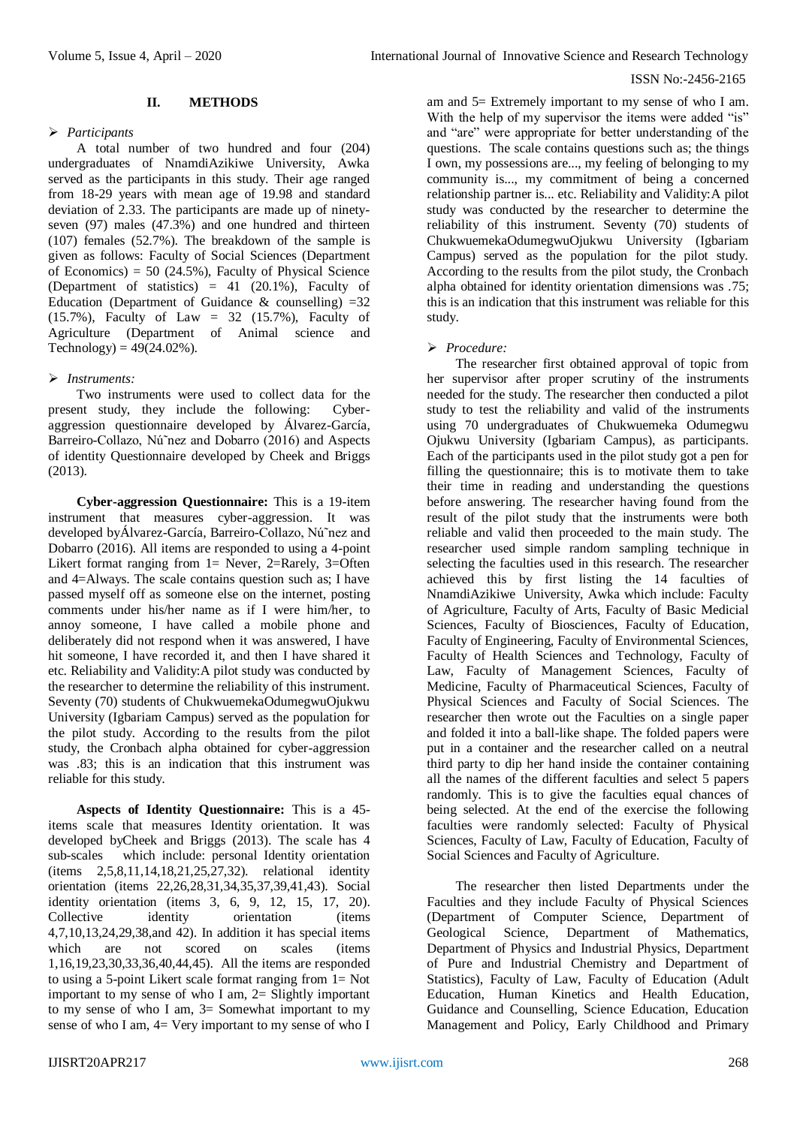## **II. METHODS**

## *Participants*

A total number of two hundred and four (204) undergraduates of NnamdiAzikiwe University, Awka served as the participants in this study. Their age ranged from 18-29 years with mean age of 19.98 and standard deviation of 2.33. The participants are made up of ninetyseven (97) males (47.3%) and one hundred and thirteen (107) females (52.7%). The breakdown of the sample is given as follows: Faculty of Social Sciences (Department of Economics) =  $50$  (24.5%), Faculty of Physical Science (Department of statistics) = 41 (20.1%), Faculty of Education (Department of Guidance & counselling)  $=32$  $(15.7\%)$ , Faculty of Law = 32  $(15.7\%)$ , Faculty of Agriculture (Department of Animal science and Technology) =  $49(24.02\%)$ .

## *Instruments:*

Two instruments were used to collect data for the present study, they include the following: Cyberaggression questionnaire developed by Álvarez-García, Barreiro-Collazo, Nú˜nez and Dobarro (2016) and Aspects of identity Questionnaire developed by Cheek and Briggs (2013).

**Cyber-aggression Questionnaire:** This is a 19-item instrument that measures cyber-aggression. It was developed byÁlvarez-García, Barreiro-Collazo, Nú˜nez and Dobarro (2016). All items are responded to using a 4-point Likert format ranging from  $1=$  Never, 2=Rarely, 3=Often and 4=Always. The scale contains question such as; I have passed myself off as someone else on the internet, posting comments under his/her name as if I were him/her, to annoy someone, I have called a mobile phone and deliberately did not respond when it was answered, I have hit someone, I have recorded it, and then I have shared it etc. Reliability and Validity:A pilot study was conducted by the researcher to determine the reliability of this instrument. Seventy (70) students of ChukwuemekaOdumegwuOjukwu University (Igbariam Campus) served as the population for the pilot study. According to the results from the pilot study, the Cronbach alpha obtained for cyber-aggression was .83; this is an indication that this instrument was reliable for this study.

**Aspects of Identity Questionnaire:** This is a 45 items scale that measures Identity orientation. It was developed byCheek and Briggs (2013). The scale has 4 sub-scales which include: personal Identity orientation (items 2,5,8,11,14,18,21,25,27,32). relational identity orientation (items 22,26,28,31,34,35,37,39,41,43). Social identity orientation (items 3, 6, 9, 12, 15, 17, 20). Collective identity orientation (items 4,7,10,13,24,29,38,and 42). In addition it has special items which are not scored on scales (items 1,16,19,23,30,33,36,40,44,45). All the items are responded to using a 5-point Likert scale format ranging from 1= Not important to my sense of who I am, 2= Slightly important to my sense of who I am,  $3=$  Somewhat important to my sense of who I am,  $4=$  Very important to my sense of who I

am and 5= Extremely important to my sense of who I am. With the help of my supervisor the items were added "is" and "are" were appropriate for better understanding of the questions. The scale contains questions such as; the things I own, my possessions are..., my feeling of belonging to my community is..., my commitment of being a concerned relationship partner is... etc. Reliability and Validity:A pilot study was conducted by the researcher to determine the reliability of this instrument. Seventy (70) students of ChukwuemekaOdumegwuOjukwu University (Igbariam Campus) served as the population for the pilot study. According to the results from the pilot study, the Cronbach alpha obtained for identity orientation dimensions was .75; this is an indication that this instrument was reliable for this study.

## *Procedure:*

The researcher first obtained approval of topic from her supervisor after proper scrutiny of the instruments needed for the study. The researcher then conducted a pilot study to test the reliability and valid of the instruments using 70 undergraduates of Chukwuemeka Odumegwu Ojukwu University (Igbariam Campus), as participants. Each of the participants used in the pilot study got a pen for filling the questionnaire; this is to motivate them to take their time in reading and understanding the questions before answering. The researcher having found from the result of the pilot study that the instruments were both reliable and valid then proceeded to the main study. The researcher used simple random sampling technique in selecting the faculties used in this research. The researcher achieved this by first listing the 14 faculties of NnamdiAzikiwe University, Awka which include: Faculty of Agriculture, Faculty of Arts, Faculty of Basic Medicial Sciences, Faculty of Biosciences, Faculty of Education, Faculty of Engineering, Faculty of Environmental Sciences, Faculty of Health Sciences and Technology, Faculty of Law, Faculty of Management Sciences, Faculty of Medicine, Faculty of Pharmaceutical Sciences, Faculty of Physical Sciences and Faculty of Social Sciences. The researcher then wrote out the Faculties on a single paper and folded it into a ball-like shape. The folded papers were put in a container and the researcher called on a neutral third party to dip her hand inside the container containing all the names of the different faculties and select 5 papers randomly. This is to give the faculties equal chances of being selected. At the end of the exercise the following faculties were randomly selected: Faculty of Physical Sciences, Faculty of Law, Faculty of Education, Faculty of Social Sciences and Faculty of Agriculture.

The researcher then listed Departments under the Faculties and they include Faculty of Physical Sciences (Department of Computer Science, Department of Geological Science, Department of Mathematics, Department of Physics and Industrial Physics, Department of Pure and Industrial Chemistry and Department of Statistics), Faculty of Law, Faculty of Education (Adult Education, Human Kinetics and Health Education, Guidance and Counselling, Science Education, Education Management and Policy, Early Childhood and Primary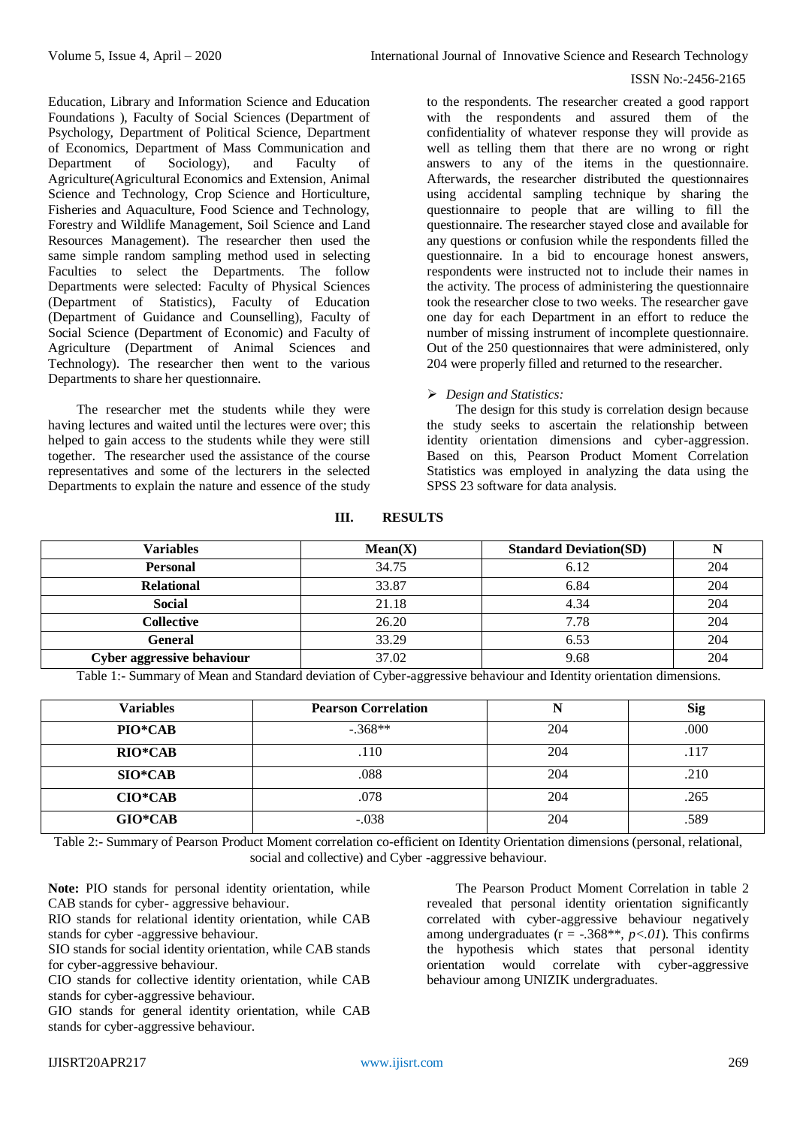Education, Library and Information Science and Education Foundations ), Faculty of Social Sciences (Department of Psychology, Department of Political Science, Department of Economics, Department of Mass Communication and Department of Sociology), and Faculty of Agriculture(Agricultural Economics and Extension, Animal Science and Technology, Crop Science and Horticulture, Fisheries and Aquaculture, Food Science and Technology, Forestry and Wildlife Management, Soil Science and Land Resources Management). The researcher then used the same simple random sampling method used in selecting Faculties to select the Departments. The follow Departments were selected: Faculty of Physical Sciences (Department of Statistics), Faculty of Education (Department of Guidance and Counselling), Faculty of Social Science (Department of Economic) and Faculty of Agriculture (Department of Animal Sciences and Technology). The researcher then went to the various Departments to share her questionnaire.

The researcher met the students while they were having lectures and waited until the lectures were over; this helped to gain access to the students while they were still together. The researcher used the assistance of the course representatives and some of the lecturers in the selected Departments to explain the nature and essence of the study

to the respondents. The researcher created a good rapport with the respondents and assured them of the confidentiality of whatever response they will provide as well as telling them that there are no wrong or right answers to any of the items in the questionnaire. Afterwards, the researcher distributed the questionnaires using accidental sampling technique by sharing the questionnaire to people that are willing to fill the questionnaire. The researcher stayed close and available for any questions or confusion while the respondents filled the questionnaire. In a bid to encourage honest answers, respondents were instructed not to include their names in the activity. The process of administering the questionnaire took the researcher close to two weeks. The researcher gave one day for each Department in an effort to reduce the number of missing instrument of incomplete questionnaire. Out of the 250 questionnaires that were administered, only 204 were properly filled and returned to the researcher.

# *Design and Statistics:*

The design for this study is correlation design because the study seeks to ascertain the relationship between identity orientation dimensions and cyber-aggression. Based on this, Pearson Product Moment Correlation Statistics was employed in analyzing the data using the SPSS 23 software for data analysis.

| Variables                  | Mean(X) | <b>Standard Deviation(SD)</b> |     |
|----------------------------|---------|-------------------------------|-----|
| <b>Personal</b>            | 34.75   | 6.12                          | 204 |
| <b>Relational</b>          | 33.87   | 6.84                          | 204 |
| <b>Social</b>              | 21.18   | 4.34                          | 204 |
| Collective                 | 26.20   | 7.78                          | 204 |
| General                    | 33.29   | 6.53                          | 204 |
| Cyber aggressive behaviour | 37.02   | 9.68                          | 204 |

## **III. RESULTS**

Table 1:- Summary of Mean and Standard deviation of Cyber-aggressive behaviour and Identity orientation dimensions.

| <b>Variables</b> | <b>Pearson Correlation</b> |     | <b>Sig</b> |
|------------------|----------------------------|-----|------------|
| PIO*CAB          | $-.368**$                  | 204 | .000       |
| <b>RIO*CAB</b>   | .110                       | 204 | .117       |
| $SIO*CAB$        | .088                       | 204 | .210       |
| $CIO*CAB$        | .078                       | 204 | .265       |
| $GIO*CAB$        | $-.038$                    | 204 | .589       |

Table 2:- Summary of Pearson Product Moment correlation co-efficient on Identity Orientation dimensions (personal, relational, social and collective) and Cyber -aggressive behaviour.

**Note:** PIO stands for personal identity orientation, while CAB stands for cyber- aggressive behaviour.

RIO stands for relational identity orientation, while CAB stands for cyber -aggressive behaviour.

SIO stands for social identity orientation, while CAB stands for cyber-aggressive behaviour.

CIO stands for collective identity orientation, while CAB stands for cyber-aggressive behaviour.

GIO stands for general identity orientation, while CAB stands for cyber-aggressive behaviour.

The Pearson Product Moment Correlation in table 2 revealed that personal identity orientation significantly correlated with cyber-aggressive behaviour negatively among undergraduates  $(r = -.368**, p < 0)$ . This confirms the hypothesis which states that personal identity orientation would correlate with cyber-aggressive behaviour among UNIZIK undergraduates.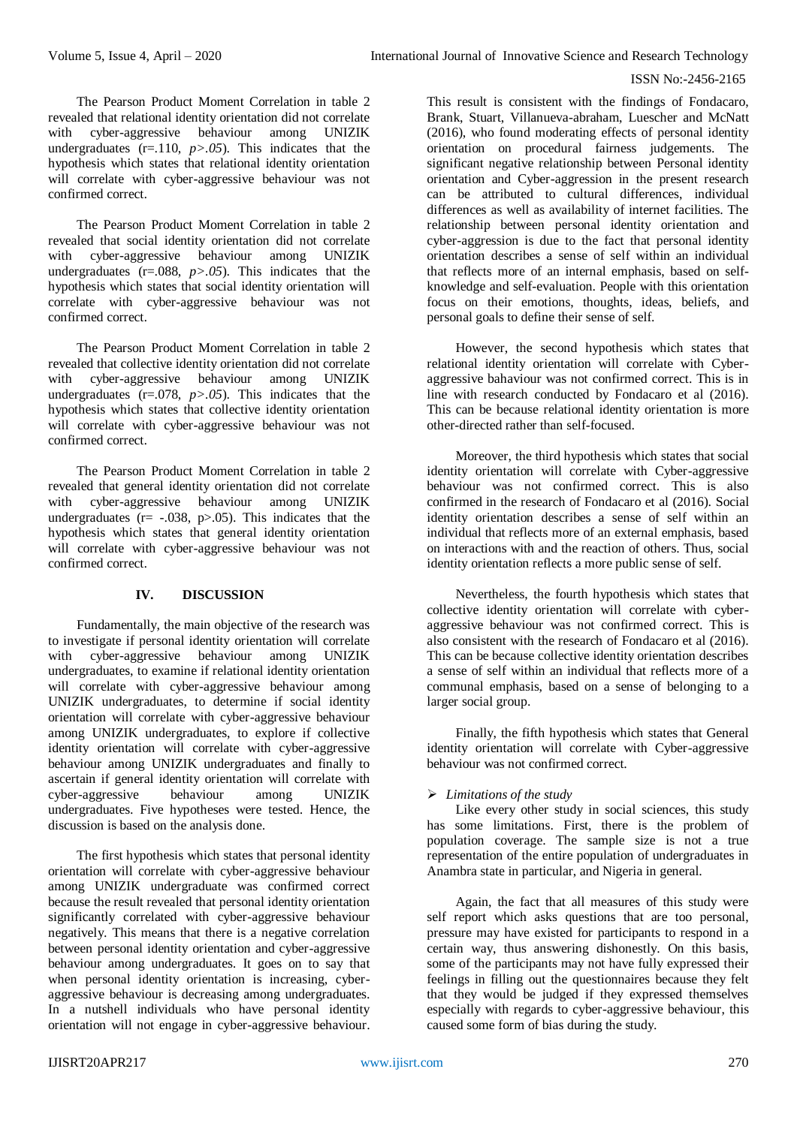The Pearson Product Moment Correlation in table 2 revealed that relational identity orientation did not correlate with cyber-aggressive behaviour among UNIZIK undergraduates  $(r=110, p>0.05)$ . This indicates that the hypothesis which states that relational identity orientation will correlate with cyber-aggressive behaviour was not confirmed correct.

The Pearson Product Moment Correlation in table 2 revealed that social identity orientation did not correlate with cyber-aggressive behaviour among UNIZIK undergraduates ( $r = .088$ ,  $p > .05$ ). This indicates that the hypothesis which states that social identity orientation will correlate with cyber-aggressive behaviour was not confirmed correct.

The Pearson Product Moment Correlation in table 2 revealed that collective identity orientation did not correlate with cyber-aggressive behaviour among UNIZIK undergraduates  $(r=.078, p>.05)$ . This indicates that the hypothesis which states that collective identity orientation will correlate with cyber-aggressive behaviour was not confirmed correct.

The Pearson Product Moment Correlation in table 2 revealed that general identity orientation did not correlate with cyber-aggressive behaviour among UNIZIK undergraduates ( $r = -.038$ ,  $p > .05$ ). This indicates that the hypothesis which states that general identity orientation will correlate with cyber-aggressive behaviour was not confirmed correct.

# **IV. DISCUSSION**

Fundamentally, the main objective of the research was to investigate if personal identity orientation will correlate with cyber-aggressive behaviour among UNIZIK undergraduates, to examine if relational identity orientation will correlate with cyber-aggressive behaviour among UNIZIK undergraduates, to determine if social identity orientation will correlate with cyber-aggressive behaviour among UNIZIK undergraduates, to explore if collective identity orientation will correlate with cyber-aggressive behaviour among UNIZIK undergraduates and finally to ascertain if general identity orientation will correlate with cyber-aggressive behaviour among UNIZIK undergraduates. Five hypotheses were tested. Hence, the discussion is based on the analysis done.

The first hypothesis which states that personal identity orientation will correlate with cyber-aggressive behaviour among UNIZIK undergraduate was confirmed correct because the result revealed that personal identity orientation significantly correlated with cyber-aggressive behaviour negatively. This means that there is a negative correlation between personal identity orientation and cyber-aggressive behaviour among undergraduates. It goes on to say that when personal identity orientation is increasing, cyberaggressive behaviour is decreasing among undergraduates. In a nutshell individuals who have personal identity orientation will not engage in cyber-aggressive behaviour.

This result is consistent with the findings of Fondacaro, Brank, Stuart, Villanueva-abraham, Luescher and McNatt (2016), who found moderating effects of personal identity orientation on procedural fairness judgements. The significant negative relationship between Personal identity orientation and Cyber-aggression in the present research can be attributed to cultural differences, individual differences as well as availability of internet facilities. The relationship between personal identity orientation and cyber-aggression is due to the fact that personal identity orientation describes a sense of self within an individual that reflects more of an internal emphasis, based on selfknowledge and self-evaluation. People with this orientation focus on their emotions, thoughts, ideas, beliefs, and personal goals to define their sense of self.

However, the second hypothesis which states that relational identity orientation will correlate with Cyberaggressive bahaviour was not confirmed correct. This is in line with research conducted by Fondacaro et al (2016). This can be because relational identity orientation is more other-directed rather than self-focused.

Moreover, the third hypothesis which states that social identity orientation will correlate with Cyber-aggressive behaviour was not confirmed correct. This is also confirmed in the research of Fondacaro et al (2016). Social identity orientation describes a sense of self within an individual that reflects more of an external emphasis, based on interactions with and the reaction of others. Thus, social identity orientation reflects a more public sense of self.

Nevertheless, the fourth hypothesis which states that collective identity orientation will correlate with cyberaggressive behaviour was not confirmed correct. This is also consistent with the research of Fondacaro et al (2016). This can be because collective identity orientation describes a sense of self within an individual that reflects more of a communal emphasis, based on a sense of belonging to a larger social group.

Finally, the fifth hypothesis which states that General identity orientation will correlate with Cyber-aggressive behaviour was not confirmed correct.

## *Limitations of the study*

Like every other study in social sciences, this study has some limitations. First, there is the problem of population coverage. The sample size is not a true representation of the entire population of undergraduates in Anambra state in particular, and Nigeria in general.

Again, the fact that all measures of this study were self report which asks questions that are too personal, pressure may have existed for participants to respond in a certain way, thus answering dishonestly. On this basis, some of the participants may not have fully expressed their feelings in filling out the questionnaires because they felt that they would be judged if they expressed themselves especially with regards to cyber-aggressive behaviour, this caused some form of bias during the study.